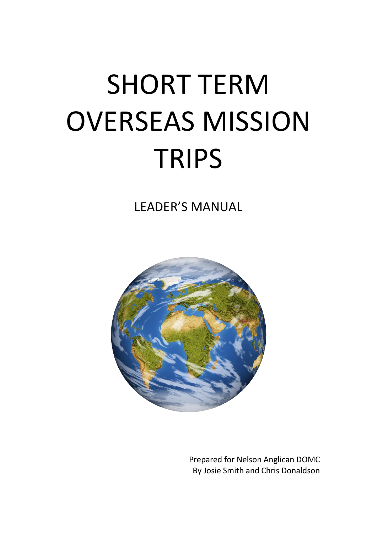# SHORT TERM OVERSEAS MISSION TRIPS

LEADER'S MANUAL



Prepared for Nelson Anglican DOMC By Josie Smith and Chris Donaldson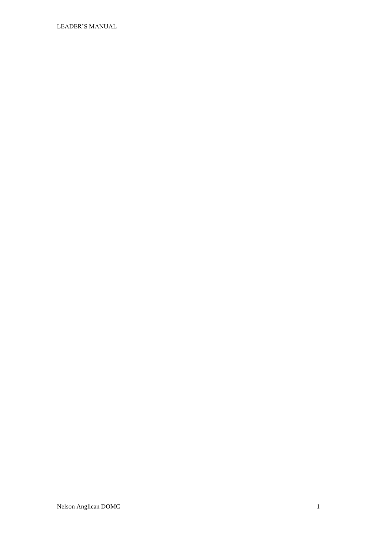LEADER'S MANUAL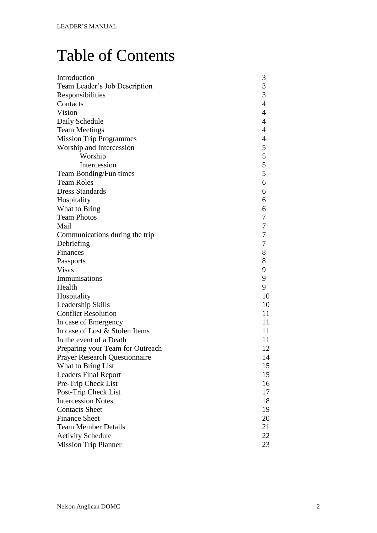## Table of Contents

| Introduction                     | 3                              |
|----------------------------------|--------------------------------|
| Team Leader's Job Description    | 3                              |
| Responsibilities                 | $\overline{3}$                 |
| Contacts                         | $\overline{4}$                 |
| Vision                           | $\overline{4}$                 |
| Daily Schedule                   | $\overline{4}$                 |
| <b>Team Meetings</b>             | $\overline{4}$                 |
| <b>Mission Trip Programmes</b>   |                                |
| Worship and Intercession         |                                |
| Worship                          |                                |
| Intercession                     | $\frac{4}{5}$<br>$\frac{5}{5}$ |
| Team Bonding/Fun times           | 5                              |
| <b>Team Roles</b>                | 6                              |
| <b>Dress Standards</b>           | 6                              |
| Hospitality                      | 6                              |
| What to Bring                    | 6                              |
| <b>Team Photos</b>               | $\overline{7}$                 |
| Mail                             | $\boldsymbol{7}$               |
| Communications during the trip   | $\boldsymbol{7}$               |
| Debriefing                       | 7                              |
| Finances                         | 8                              |
| Passports                        | 8                              |
| <b>Visas</b>                     | 9                              |
| Immunisations                    | 9                              |
| Health                           | 9                              |
| Hospitality                      | 10                             |
| Leadership Skills                | 10                             |
| <b>Conflict Resolution</b>       | 11                             |
| In case of Emergency             | 11                             |
| In case of Lost & Stolen Items   | 11                             |
| In the event of a Death          | 11                             |
| Preparing your Team for Outreach | 12                             |
| Prayer Research Questionnaire    | 14                             |
| What to Bring List               | 15                             |
| <b>Leaders Final Report</b>      | 15                             |
| Pre-Trip Check List              | 16                             |
| Post-Trip Check List             | 17                             |
| <b>Intercession Notes</b>        | 18                             |
| <b>Contacts Sheet</b>            | 19                             |
| <b>Finance Sheet</b>             | 20                             |
| <b>Team Member Details</b>       | 21                             |
| <b>Activity Schedule</b>         | 22                             |
| <b>Mission Trip Planner</b>      | 23                             |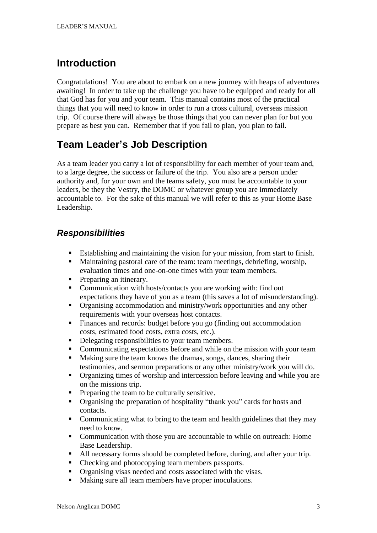## **Introduction**

Congratulations! You are about to embark on a new journey with heaps of adventures awaiting! In order to take up the challenge you have to be equipped and ready for all that God has for you and your team. This manual contains most of the practical things that you will need to know in order to run a cross cultural, overseas mission trip. Of course there will always be those things that you can never plan for but you prepare as best you can. Remember that if you fail to plan, you plan to fail.

## **Team Leader's Job Description**

As a team leader you carry a lot of responsibility for each member of your team and, to a large degree, the success or failure of the trip. You also are a person under authority and, for your own and the teams safety, you must be accountable to your leaders, be they the Vestry, the DOMC or whatever group you are immediately accountable to. For the sake of this manual we will refer to this as your Home Base Leadership.

#### *Responsibilities*

- Establishing and maintaining the vision for your mission, from start to finish.
- Maintaining pastoral care of the team: team meetings, debriefing, worship, evaluation times and one-on-one times with your team members.
- Preparing an itinerary.
- Communication with hosts/contacts you are working with: find out expectations they have of you as a team (this saves a lot of misunderstanding).
- Organising accommodation and ministry/work opportunities and any other requirements with your overseas host contacts.
- Finances and records: budget before you go (finding out accommodation costs, estimated food costs, extra costs, etc.).
- Delegating responsibilities to your team members.
- Communicating expectations before and while on the mission with your team
- Making sure the team knows the dramas, songs, dances, sharing their testimonies, and sermon preparations or any other ministry/work you will do.
- Organizing times of worship and intercession before leaving and while you are on the missions trip.
- Preparing the team to be culturally sensitive.
- Organising the preparation of hospitality "thank you" cards for hosts and contacts.
- Communicating what to bring to the team and health guidelines that they may need to know.
- Communication with those you are accountable to while on outreach: Home Base Leadership.
- All necessary forms should be completed before, during, and after your trip.
- Checking and photocopying team members passports.
- Organising visas needed and costs associated with the visas.
- Making sure all team members have proper inoculations.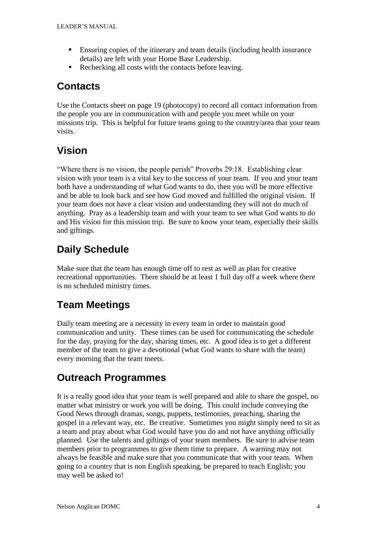- Ensuring copies of the itinerary and team details (including health insurance details) are left with your Home Base Leadership.
- Rechecking all costs with the contacts before leaving.

## **Contacts**

Use the Contacts sheet on page 19 (photocopy) to record all contact information from the people you are in communication with and people you meet while on your missions trip. This is helpful for future teams going to the country/area that your team visits.

## **Vision**

"Where there is no vision, the people perish" Proverbs 29:18. Establishing clear vision with your team is a vital key to the success of your team. If you and your team both have a understanding of what God wants to do, then you will be more effective and be able to look back and see how God moved and fulfilled the original vision. If your team does not have a clear vision and understanding they will not do much of anything. Pray as a leadership team and with your team to see what God wants to do and His vision for this mission trip. Be sure to know your team, especially their skills and giftings.

## **Daily Schedule**

Make sure that the team has enough time off to rest as well as plan for creative recreational opportunities. There should be at least 1 full day off a week where there is no scheduled ministry times.

## **Team Meetings**

Daily team meeting are a necessity in every team in order to maintain good communication and unity. These times can be used for communicating the schedule for the day, praying for the day, sharing times, etc. A good idea is to get a different member of the team to give a devotional (what God wants to share with the team) every morning that the team meets.

## **Outreach Programmes**

It is a really good idea that your team is well prepared and able to share the gospel, no matter what ministry or work you will be doing. This could include conveying the Good News through dramas, songs, puppets, testimonies, preaching, sharing the gospel in a relevant way, etc. Be creative. Sometimes you might simply need to sit as a team and pray about what God would have you do and not have anything officially planned. Use the talents and giftings of your team members. Be sure to advise team members prior to programmes to give them time to prepare. A warning may not always be feasible and make sure that you communicate that with your team. When going to a country that is non English speaking, be prepared to teach English; you may well be asked to!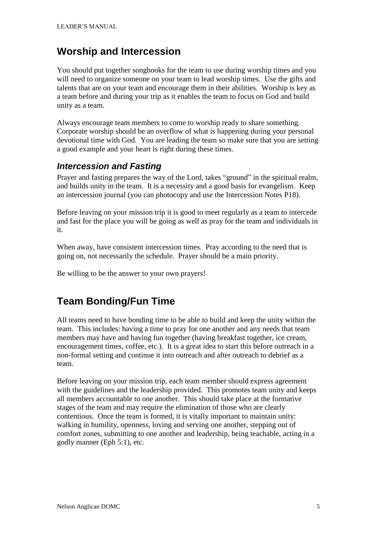## **Worship and Intercession**

You should put together songbooks for the team to use during worship times and you will need to organize someone on your team to lead worship times. Use the gifts and talents that are on your team and encourage them in their abilities. Worship is key as a team before and during your trip as it enables the team to focus on God and build unity as a team.

Always encourage team members to come to worship ready to share something. Corporate worship should be an overflow of what is happening during your personal devotional time with God. You are leading the team so make sure that you are setting a good example and your heart is right during these times.

#### *Intercession and Fasting*

Prayer and fasting prepares the way of the Lord, takes "ground" in the spiritual realm, and builds unity in the team. It is a necessity and a good basis for evangelism. Keep an intercession journal (you can photocopy and use the Intercession Notes P18).

Before leaving on your mission trip it is good to meet regularly as a team to intercede and fast for the place you will be going as well as pray for the team and individuals in it.

When away, have consistent intercession times. Pray according to the need that is going on, not necessarily the schedule. Prayer should be a main priority.

Be willing to be the answer to your own prayers!

## **Team Bonding/Fun Time**

All teams need to have bonding time to be able to build and keep the unity within the team. This includes: having a time to pray for one another and any needs that team members may have and having fun together (having breakfast together, ice cream, encouragement times, coffee, etc.). It is a great idea to start this before outreach in a non-formal setting and continue it into outreach and after outreach to debrief as a team.

Before leaving on your mission trip, each team member should express agreement with the guidelines and the leadership provided. This promotes team unity and keeps all members accountable to one another. This should take place at the formative stages of the team and may require the elimination of those who are clearly contentious. Once the team is formed, it is vitally important to maintain unity: walking in humility, openness, loving and serving one another, stepping out of comfort zones, submitting to one another and leadership, being teachable, acting in a godly manner (Eph 5:1), etc.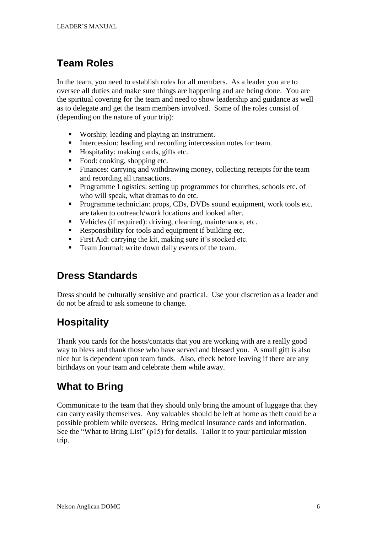## **Team Roles**

In the team, you need to establish roles for all members. As a leader you are to oversee all duties and make sure things are happening and are being done. You are the spiritual covering for the team and need to show leadership and guidance as well as to delegate and get the team members involved. Some of the roles consist of (depending on the nature of your trip):

- Worship: leading and playing an instrument.
- Intercession: leading and recording intercession notes for team.
- Hospitality: making cards, gifts etc.
- Food: cooking, shopping etc.
- Finances: carrying and withdrawing money, collecting receipts for the team and recording all transactions.
- Programme Logistics: setting up programmes for churches, schools etc. of who will speak, what dramas to do etc.
- **Programme technician: props, CDs, DVDs sound equipment, work tools etc.** are taken to outreach/work locations and looked after.
- Vehicles (if required): driving, cleaning, maintenance, etc.
- Responsibility for tools and equipment if building etc.<br>First Aid: carrying the kit making sure it's stocked etc.
- First Aid: carrying the kit, making sure it's stocked etc.
- Team Journal: write down daily events of the team.

## **Dress Standards**

Dress should be culturally sensitive and practical. Use your discretion as a leader and do not be afraid to ask someone to change.

## **Hospitality**

Thank you cards for the hosts/contacts that you are working with are a really good way to bless and thank those who have served and blessed you. A small gift is also nice but is dependent upon team funds. Also, check before leaving if there are any birthdays on your team and celebrate them while away.

## **What to Bring**

Communicate to the team that they should only bring the amount of luggage that they can carry easily themselves. Any valuables should be left at home as theft could be a possible problem while overseas. Bring medical insurance cards and information. See the "What to Bring List" (p15) for details. Tailor it to your particular mission trip.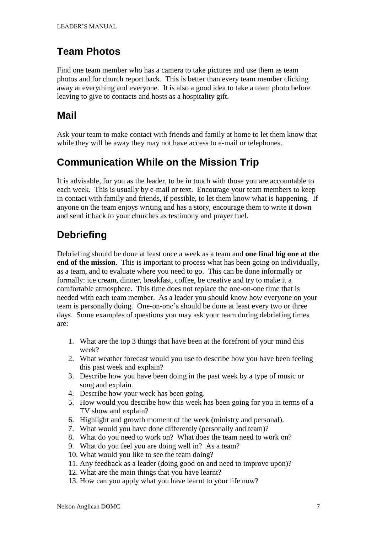## **Team Photos**

Find one team member who has a camera to take pictures and use them as team photos and for church report back. This is better than every team member clicking away at everything and everyone. It is also a good idea to take a team photo before leaving to give to contacts and hosts as a hospitality gift.

## **Mail**

Ask your team to make contact with friends and family at home to let them know that while they will be away they may not have access to e-mail or telephones.

## **Communication While on the Mission Trip**

It is advisable, for you as the leader, to be in touch with those you are accountable to each week. This is usually by e-mail or text. Encourage your team members to keep in contact with family and friends, if possible, to let them know what is happening. If anyone on the team enjoys writing and has a story, encourage them to write it down and send it back to your churches as testimony and prayer fuel.

## **Debriefing**

Debriefing should be done at least once a week as a team and **one final big one at the end of the mission**. This is important to process what has been going on individually, as a team, and to evaluate where you need to go. This can be done informally or formally: ice cream, dinner, breakfast, coffee, be creative and try to make it a comfortable atmosphere. This time does not replace the one-on-one time that is needed with each team member. As a leader you should know how everyone on your team is personally doing. One-on-one's should be done at least every two or three days. Some examples of questions you may ask your team during debriefing times are:

- 1. What are the top 3 things that have been at the forefront of your mind this week?
- 2. What weather forecast would you use to describe how you have been feeling this past week and explain?
- 3. Describe how you have been doing in the past week by a type of music or song and explain.
- 4. Describe how your week has been going.
- 5. How would you describe how this week has been going for you in terms of a TV show and explain?
- 6. Highlight and growth moment of the week (ministry and personal).
- 7. What would you have done differently (personally and team)?
- 8. What do you need to work on? What does the team need to work on?
- 9. What do you feel you are doing well in? As a team?
- 10. What would you like to see the team doing?
- 11. Any feedback as a leader (doing good on and need to improve upon)?
- 12. What are the main things that you have learnt?
- 13. How can you apply what you have learnt to your life now?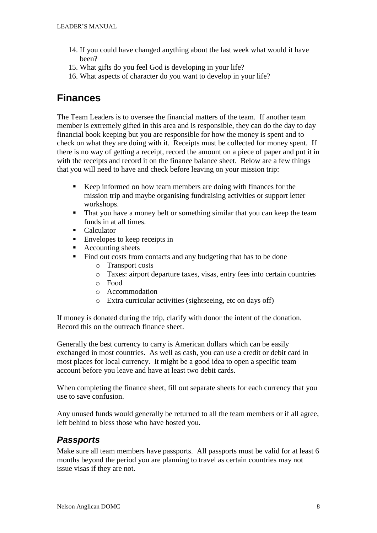- 14. If you could have changed anything about the last week what would it have been?
- 15. What gifts do you feel God is developing in your life?
- 16. What aspects of character do you want to develop in your life?

#### **Finances**

The Team Leaders is to oversee the financial matters of the team. If another team member is extremely gifted in this area and is responsible, they can do the day to day financial book keeping but you are responsible for how the money is spent and to check on what they are doing with it. Receipts must be collected for money spent. If there is no way of getting a receipt, record the amount on a piece of paper and put it in with the receipts and record it on the finance balance sheet. Below are a few things that you will need to have and check before leaving on your mission trip:

- Keep informed on how team members are doing with finances for the mission trip and maybe organising fundraising activities or support letter workshops.
- That you have a money belt or something similar that you can keep the team funds in at all times.
- Calculator
- Envelopes to keep receipts in
- Accounting sheets
- Find out costs from contacts and any budgeting that has to be done
	- o Transport costs
	- o Taxes: airport departure taxes, visas, entry fees into certain countries
	- o Food
	- o Accommodation
	- o Extra curricular activities (sightseeing, etc on days off)

If money is donated during the trip, clarify with donor the intent of the donation. Record this on the outreach finance sheet.

Generally the best currency to carry is American dollars which can be easily exchanged in most countries. As well as cash, you can use a credit or debit card in most places for local currency. It might be a good idea to open a specific team account before you leave and have at least two debit cards.

When completing the finance sheet, fill out separate sheets for each currency that you use to save confusion.

Any unused funds would generally be returned to all the team members or if all agree, left behind to bless those who have hosted you.

#### *Passports*

Make sure all team members have passports. All passports must be valid for at least 6 months beyond the period you are planning to travel as certain countries may not issue visas if they are not.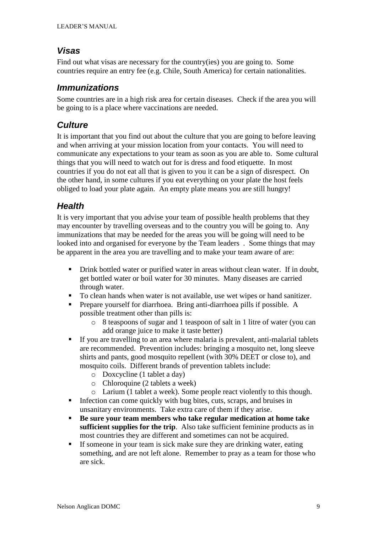#### *Visas*

Find out what visas are necessary for the country(ies) you are going to. Some countries require an entry fee (e.g. Chile, South America) for certain nationalities.

#### *Immunizations*

Some countries are in a high risk area for certain diseases. Check if the area you will be going to is a place where vaccinations are needed.

#### *Culture*

It is important that you find out about the culture that you are going to before leaving and when arriving at your mission location from your contacts. You will need to communicate any expectations to your team as soon as you are able to. Some cultural things that you will need to watch out for is dress and food etiquette. In most countries if you do not eat all that is given to you it can be a sign of disrespect. On the other hand, in some cultures if you eat everything on your plate the host feels obliged to load your plate again. An empty plate means you are still hungry!

#### *Health*

It is very important that you advise your team of possible health problems that they may encounter by travelling overseas and to the country you will be going to. Any immunizations that may be needed for the areas you will be going will need to be looked into and organised for everyone by the Team leaders . Some things that may be apparent in the area you are travelling and to make your team aware of are:

- Drink bottled water or purified water in areas without clean water. If in doubt, get bottled water or boil water for 30 minutes. Many diseases are carried through water.
- To clean hands when water is not available, use wet wipes or hand sanitizer.
- Prepare yourself for diarrhoea. Bring anti-diarrhoea pills if possible. A possible treatment other than pills is:
	- o 8 teaspoons of sugar and 1 teaspoon of salt in 1 litre of water (you can add orange juice to make it taste better)
- If you are travelling to an area where malaria is prevalent, anti-malarial tablets are recommended. Prevention includes: bringing a mosquito net, long sleeve shirts and pants, good mosquito repellent (with 30% DEET or close to), and mosquito coils. Different brands of prevention tablets include:
	- o Doxcycline (1 tablet a day)
	- o Chloroquine (2 tablets a week)
	- o Larium (1 tablet a week). Some people react violently to this though.
- Infection can come quickly with bug bites, cuts, scraps, and bruises in unsanitary environments. Take extra care of them if they arise.
- **Be sure your team members who take regular medication at home take sufficient supplies for the trip**. Also take sufficient feminine products as in most countries they are different and sometimes can not be acquired.
- If someone in your team is sick make sure they are drinking water, eating something, and are not left alone. Remember to pray as a team for those who are sick.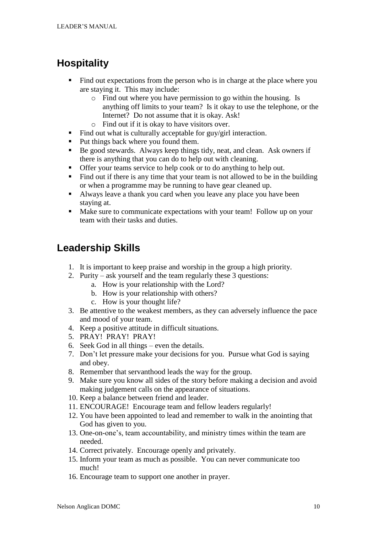## **Hospitality**

- Find out expectations from the person who is in charge at the place where you are staying it. This may include:
	- o Find out where you have permission to go within the housing. Is anything off limits to your team? Is it okay to use the telephone, or the Internet? Do not assume that it is okay. Ask!
	- o Find out if it is okay to have visitors over.
- Find out what is culturally acceptable for guy/girl interaction.
- Put things back where you found them.
- Be good stewards. Always keep things tidy, neat, and clean. Ask owners if there is anything that you can do to help out with cleaning.
- Offer your teams service to help cook or to do anything to help out.
- Find out if there is any time that your team is not allowed to be in the building or when a programme may be running to have gear cleaned up.
- Always leave a thank you card when you leave any place you have been staying at.
- Make sure to communicate expectations with your team! Follow up on your team with their tasks and duties.

## **Leadership Skills**

- 1. It is important to keep praise and worship in the group a high priority.
- 2. Purity ask yourself and the team regularly these 3 questions:
	- a. How is your relationship with the Lord?
		- b. How is your relationship with others?
		- c. How is your thought life?
- 3. Be attentive to the weakest members, as they can adversely influence the pace and mood of your team.
- 4. Keep a positive attitude in difficult situations.
- 5. PRAY! PRAY! PRAY!
- 6. Seek God in all things even the details.
- 7. Don't let pressure make your decisions for you. Pursue what God is saying and obey.
- 8. Remember that servanthood leads the way for the group.
- 9. Make sure you know all sides of the story before making a decision and avoid making judgement calls on the appearance of situations.
- 10. Keep a balance between friend and leader.
- 11. ENCOURAGE! Encourage team and fellow leaders regularly!
- 12. You have been appointed to lead and remember to walk in the anointing that God has given to you.
- 13. One-on-one's, team accountability, and ministry times within the team are needed.
- 14. Correct privately. Encourage openly and privately.
- 15. Inform your team as much as possible. You can never communicate too much!
- 16. Encourage team to support one another in prayer.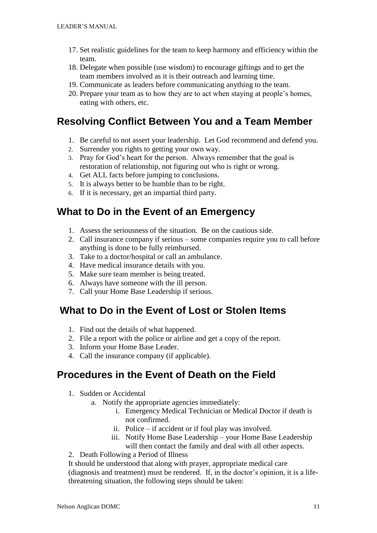- 17. Set realistic guidelines for the team to keep harmony and efficiency within the team.
- 18. Delegate when possible (use wisdom) to encourage giftings and to get the team members involved as it is their outreach and learning time.
- 19. Communicate as leaders before communicating anything to the team.
- 20. Prepare your team as to how they are to act when staying at people's homes, eating with others, etc.

## **Resolving Conflict Between You and a Team Member**

- 1. Be careful to not assert your leadership. Let God recommend and defend you.
- 2. Surrender you rights to getting your own way.
- 3. Pray for God's heart for the person. Always remember that the goal is restoration of relationship, not figuring out who is right or wrong.
- 4. Get ALL facts before jumping to conclusions.
- 5. It is always better to be humble than to be right.
- 6. If it is necessary, get an impartial third party.

### **What to Do in the Event of an Emergency**

- 1. Assess the seriousness of the situation. Be on the cautious side.
- 2. Call insurance company if serious some companies require you to call before anything is done to be fully reimbursed.
- 3. Take to a doctor/hospital or call an ambulance.
- 4. Have medical insurance details with you.
- 5. Make sure team member is being treated.
- 6. Always have someone with the ill person.
- 7. Call your Home Base Leadership if serious.

## **What to Do in the Event of Lost or Stolen Items**

- 1. Find out the details of what happened.
- 2. File a report with the police or airline and get a copy of the report.
- 3. Inform your Home Base Leader.
- 4. Call the insurance company (if applicable).

## **Procedures in the Event of Death on the Field**

- 1. Sudden or Accidental
	- a. Notify the appropriate agencies immediately:
		- i. Emergency Medical Technician or Medical Doctor if death is not confirmed.
		- ii. Police if accident or if foul play was involved.
		- iii. Notify Home Base Leadership your Home Base Leadership will then contact the family and deal with all other aspects.
- 2. Death Following a Period of Illness

It should be understood that along with prayer, appropriate medical care (diagnosis and treatment) must be rendered. If, in the doctor's opinion, it is a lifethreatening situation, the following steps should be taken: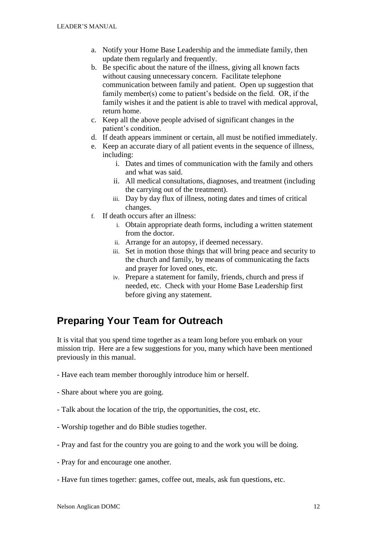- a. Notify your Home Base Leadership and the immediate family, then update them regularly and frequently.
- b. Be specific about the nature of the illness, giving all known facts without causing unnecessary concern. Facilitate telephone communication between family and patient. Open up suggestion that family member(s) come to patient's bedside on the field. OR, if the family wishes it and the patient is able to travel with medical approval, return home.
- c. Keep all the above people advised of significant changes in the patient's condition.
- d. If death appears imminent or certain, all must be notified immediately.
- e. Keep an accurate diary of all patient events in the sequence of illness, including:
	- i. Dates and times of communication with the family and others and what was said.
	- ii. All medical consultations, diagnoses, and treatment (including the carrying out of the treatment).
	- iii. Day by day flux of illness, noting dates and times of critical changes.
- f. If death occurs after an illness:
	- i. Obtain appropriate death forms, including a written statement from the doctor.
	- ii. Arrange for an autopsy, if deemed necessary.
	- iii. Set in motion those things that will bring peace and security to the church and family, by means of communicating the facts and prayer for loved ones, etc.
	- iv. Prepare a statement for family, friends, church and press if needed, etc. Check with your Home Base Leadership first before giving any statement.

#### **Preparing Your Team for Outreach**

It is vital that you spend time together as a team long before you embark on your mission trip. Here are a few suggestions for you, many which have been mentioned previously in this manual.

- Have each team member thoroughly introduce him or herself.
- Share about where you are going.
- Talk about the location of the trip, the opportunities, the cost, etc.
- Worship together and do Bible studies together.
- Pray and fast for the country you are going to and the work you will be doing.
- Pray for and encourage one another.
- Have fun times together: games, coffee out, meals, ask fun questions, etc.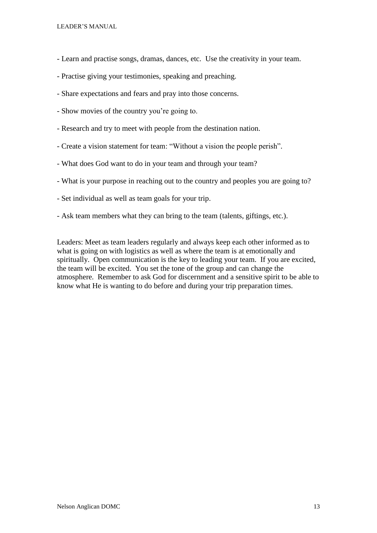- Learn and practise songs, dramas, dances, etc. Use the creativity in your team.
- Practise giving your testimonies, speaking and preaching.
- Share expectations and fears and pray into those concerns.
- Show movies of the country you're going to.
- Research and try to meet with people from the destination nation.
- Create a vision statement for team: "Without a vision the people perish".
- What does God want to do in your team and through your team?
- What is your purpose in reaching out to the country and peoples you are going to?
- Set individual as well as team goals for your trip.
- Ask team members what they can bring to the team (talents, giftings, etc.).

Leaders: Meet as team leaders regularly and always keep each other informed as to what is going on with logistics as well as where the team is at emotionally and spiritually. Open communication is the key to leading your team. If you are excited, the team will be excited. You set the tone of the group and can change the atmosphere. Remember to ask God for discernment and a sensitive spirit to be able to know what He is wanting to do before and during your trip preparation times.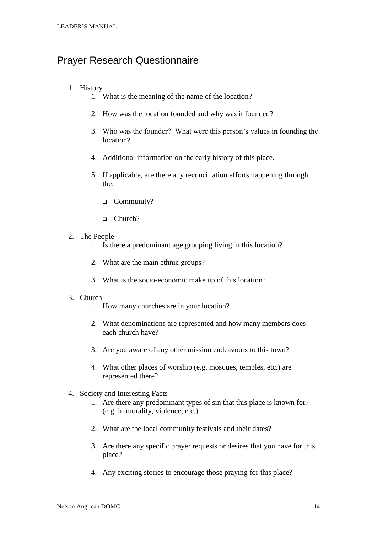## Prayer Research Questionnaire

- 1. History
	- 1. What is the meaning of the name of the location?
	- 2. How was the location founded and why was it founded?
	- 3. Who was the founder? What were this person's values in founding the location?
	- 4. Additional information on the early history of this place.
	- 5. If applicable, are there any reconciliation efforts happening through the:
		- □ Community?
		- □ Church?
- 2. The People
	- 1. Is there a predominant age grouping living in this location?
	- 2. What are the main ethnic groups?
	- 3. What is the socio-economic make up of this location?

#### 3. Church

- 1. How many churches are in your location?
- 2. What denominations are represented and how many members does each church have?
- 3. Are you aware of any other mission endeavours to this town?
- 4. What other places of worship (e.g. mosques, temples, etc.) are represented there?
- 4. Society and Interesting Facts
	- 1. Are there any predominant types of sin that this place is known for? (e.g. immorality, violence, etc.)
	- 2. What are the local community festivals and their dates?
	- 3. Are there any specific prayer requests or desires that you have for this place?
	- 4. Any exciting stories to encourage those praying for this place?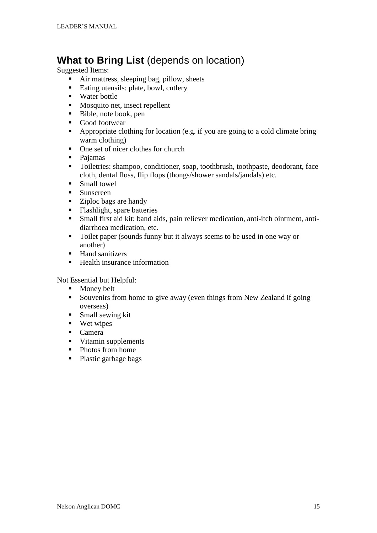## **What to Bring List** (depends on location)

Suggested Items:

- Air mattress, sleeping bag, pillow, sheets
- Eating utensils: plate, bowl, cutlery
- Water bottle
- Mosquito net, insect repellent
- Bible, note book, pen
- Good footwear
- Appropriate clothing for location (e.g. if you are going to a cold climate bring warm clothing)
- One set of nicer clothes for church
- Pajamas
- Toiletries: shampoo, conditioner, soap, toothbrush, toothpaste, deodorant, face cloth, dental floss, flip flops (thongs/shower sandals/jandals) etc.
- Small towel
- Sunscreen
- Ziploc bags are handy
- Flashlight, spare batteries
- Small first aid kit: band aids, pain reliever medication, anti-itch ointment, antidiarrhoea medication, etc.
- Toilet paper (sounds funny but it always seems to be used in one way or another)
- **Hand sanitizers**
- $\blacksquare$  Health insurance information

Not Essential but Helpful:

- Money belt
- Souvenirs from home to give away (even things from New Zealand if going overseas)
- **Small sewing kit**
- **Wet wipes**
- Camera
- Vitamin supplements
- Photos from home
- Plastic garbage bags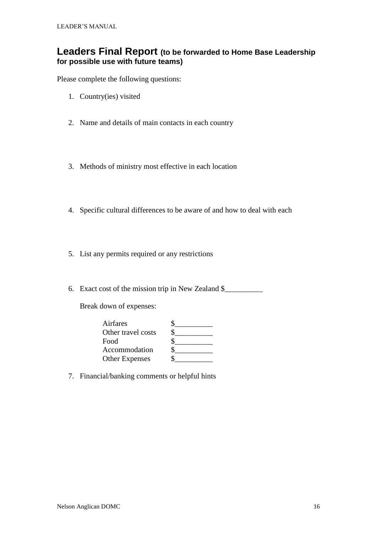#### **Leaders Final Report (to be forwarded to Home Base Leadership for possible use with future teams)**

Please complete the following questions:

- 1. Country(ies) visited
- 2. Name and details of main contacts in each country
- 3. Methods of ministry most effective in each location
- 4. Specific cultural differences to be aware of and how to deal with each
- 5. List any permits required or any restrictions
- 6. Exact cost of the mission trip in New Zealand \$\_\_\_\_\_\_\_\_\_\_

Break down of expenses:

| Airfares              |  |
|-----------------------|--|
| Other travel costs    |  |
| Food                  |  |
| Accommodation         |  |
| <b>Other Expenses</b> |  |

7. Financial/banking comments or helpful hints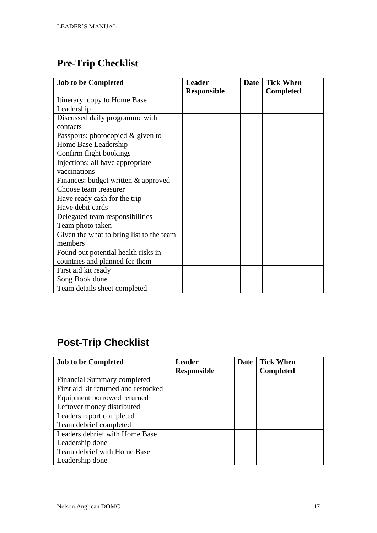## **Pre-Trip Checklist**

| <b>Job to be Completed</b>               | <b>Leader</b>      | <b>Date</b> | <b>Tick When</b> |
|------------------------------------------|--------------------|-------------|------------------|
|                                          | <b>Responsible</b> |             | <b>Completed</b> |
| Itinerary: copy to Home Base             |                    |             |                  |
| Leadership                               |                    |             |                  |
| Discussed daily programme with           |                    |             |                  |
| contacts                                 |                    |             |                  |
| Passports: photocopied $&$ given to      |                    |             |                  |
| Home Base Leadership                     |                    |             |                  |
| Confirm flight bookings                  |                    |             |                  |
| Injections: all have appropriate         |                    |             |                  |
| vaccinations                             |                    |             |                  |
| Finances: budget written & approved      |                    |             |                  |
| Choose team treasurer                    |                    |             |                  |
| Have ready cash for the trip             |                    |             |                  |
| Have debit cards                         |                    |             |                  |
| Delegated team responsibilities          |                    |             |                  |
| Team photo taken                         |                    |             |                  |
| Given the what to bring list to the team |                    |             |                  |
| members                                  |                    |             |                  |
| Found out potential health risks in      |                    |             |                  |
| countries and planned for them           |                    |             |                  |
| First aid kit ready                      |                    |             |                  |
| Song Book done                           |                    |             |                  |
| Team details sheet completed             |                    |             |                  |

## **Post-Trip Checklist**

| <b>Job to be Completed</b>           | <b>Leader</b>      | Date | <b>Tick When</b> |
|--------------------------------------|--------------------|------|------------------|
|                                      | <b>Responsible</b> |      | <b>Completed</b> |
| <b>Financial Summary completed</b>   |                    |      |                  |
| First aid kit returned and restocked |                    |      |                  |
| Equipment borrowed returned          |                    |      |                  |
| Leftover money distributed           |                    |      |                  |
| Leaders report completed             |                    |      |                  |
| Team debrief completed               |                    |      |                  |
| Leaders debrief with Home Base       |                    |      |                  |
| Leadership done                      |                    |      |                  |
| Team debrief with Home Base          |                    |      |                  |
| Leadership done                      |                    |      |                  |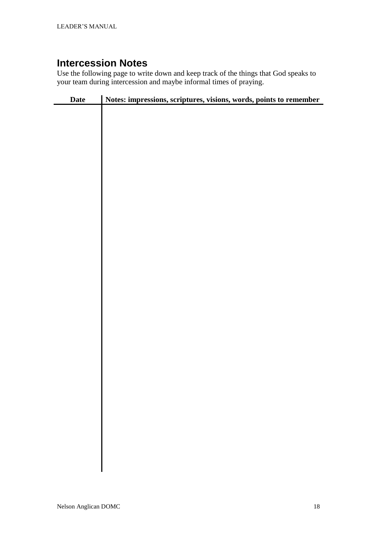## **Intercession Notes**

Use the following page to write down and keep track of the things that God speaks to your team during intercession and maybe informal times of praying.

| <b>Date</b> | Notes: impressions, scriptures, visions, words, points to remember |
|-------------|--------------------------------------------------------------------|
|             |                                                                    |
|             |                                                                    |
|             |                                                                    |
|             |                                                                    |
|             |                                                                    |
|             |                                                                    |
|             |                                                                    |
|             |                                                                    |
|             |                                                                    |
|             |                                                                    |
|             |                                                                    |
|             |                                                                    |
|             |                                                                    |
|             |                                                                    |
|             |                                                                    |
|             |                                                                    |
|             |                                                                    |
|             |                                                                    |
|             |                                                                    |
|             |                                                                    |
|             |                                                                    |
|             |                                                                    |
|             |                                                                    |
|             |                                                                    |
|             |                                                                    |
|             |                                                                    |
|             |                                                                    |
|             |                                                                    |
|             |                                                                    |
|             |                                                                    |
|             |                                                                    |
|             |                                                                    |
|             |                                                                    |
|             |                                                                    |
|             |                                                                    |
|             |                                                                    |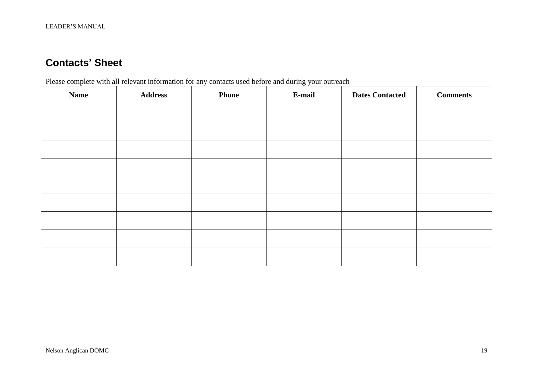## **Contacts' Sheet**

Please complete with all relevant information for any contacts used before and during your outreach

| <b>Name</b> | <b>Address</b> | <b>Phone</b> | E-mail | <b>Dates Contacted</b> | <b>Comments</b> |
|-------------|----------------|--------------|--------|------------------------|-----------------|
|             |                |              |        |                        |                 |
|             |                |              |        |                        |                 |
|             |                |              |        |                        |                 |
|             |                |              |        |                        |                 |
|             |                |              |        |                        |                 |
|             |                |              |        |                        |                 |
|             |                |              |        |                        |                 |
|             |                |              |        |                        |                 |
|             |                |              |        |                        |                 |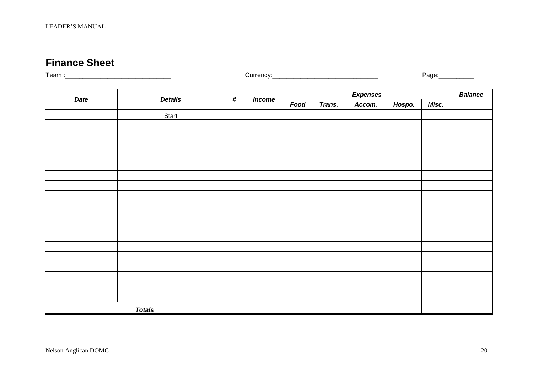#### **Finance Sheet**

|             |                |      |               |                 |        |        | Page:__________ |                |  |
|-------------|----------------|------|---------------|-----------------|--------|--------|-----------------|----------------|--|
|             |                |      |               | <b>Expenses</b> |        |        |                 | <b>Balance</b> |  |
| <b>Date</b> | <b>Details</b> | $\#$ | <b>Income</b> | Food            | Trans. | Accom. | Hospo.          | Misc.          |  |
|             | <b>Start</b>   |      |               |                 |        |        |                 |                |  |
|             |                |      |               |                 |        |        |                 |                |  |
|             |                |      |               |                 |        |        |                 |                |  |
|             |                |      |               |                 |        |        |                 |                |  |
|             |                |      |               |                 |        |        |                 |                |  |
|             |                |      |               |                 |        |        |                 |                |  |
|             |                |      |               |                 |        |        |                 |                |  |
|             |                |      |               |                 |        |        |                 |                |  |
|             |                |      |               |                 |        |        |                 |                |  |
|             |                |      |               |                 |        |        |                 |                |  |
|             |                |      |               |                 |        |        |                 |                |  |
|             |                |      |               |                 |        |        |                 |                |  |
|             |                |      |               |                 |        |        |                 |                |  |
|             |                |      |               |                 |        |        |                 |                |  |
|             |                |      |               |                 |        |        |                 |                |  |
|             |                |      |               |                 |        |        |                 |                |  |
|             |                |      |               |                 |        |        |                 |                |  |
|             |                |      |               |                 |        |        |                 |                |  |

*Totals*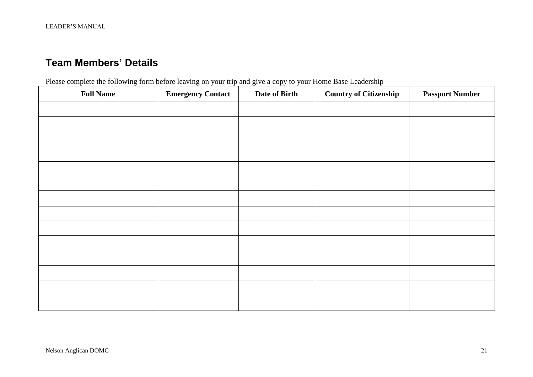## **Team Members' Details**

Please complete the following form before leaving on your trip and give a copy to your Home Base Leadership

| <b>Full Name</b> | <b>Emergency Contact</b> | Date of Birth | <b>Country of Citizenship</b> | <b>Passport Number</b> |
|------------------|--------------------------|---------------|-------------------------------|------------------------|
|                  |                          |               |                               |                        |
|                  |                          |               |                               |                        |
|                  |                          |               |                               |                        |
|                  |                          |               |                               |                        |
|                  |                          |               |                               |                        |
|                  |                          |               |                               |                        |
|                  |                          |               |                               |                        |
|                  |                          |               |                               |                        |
|                  |                          |               |                               |                        |
|                  |                          |               |                               |                        |
|                  |                          |               |                               |                        |
|                  |                          |               |                               |                        |
|                  |                          |               |                               |                        |
|                  |                          |               |                               |                        |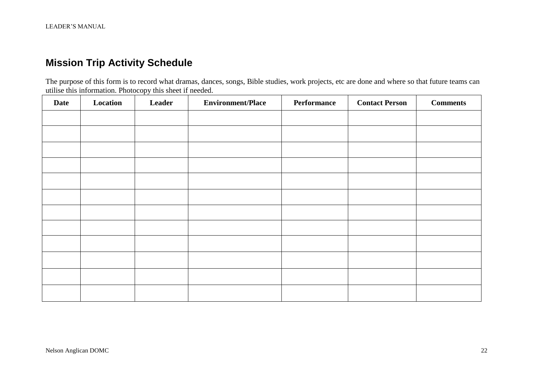## **Mission Trip Activity Schedule**

The purpose of this form is to record what dramas, dances, songs, Bible studies, work projects, etc are done and where so that future teams can utilise this information. Photocopy this sheet if needed.

| <b>Date</b> | Location | Leader | <b>Environment/Place</b> | Performance | <b>Contact Person</b> | <b>Comments</b> |
|-------------|----------|--------|--------------------------|-------------|-----------------------|-----------------|
|             |          |        |                          |             |                       |                 |
|             |          |        |                          |             |                       |                 |
|             |          |        |                          |             |                       |                 |
|             |          |        |                          |             |                       |                 |
|             |          |        |                          |             |                       |                 |
|             |          |        |                          |             |                       |                 |
|             |          |        |                          |             |                       |                 |
|             |          |        |                          |             |                       |                 |
|             |          |        |                          |             |                       |                 |
|             |          |        |                          |             |                       |                 |
|             |          |        |                          |             |                       |                 |
|             |          |        |                          |             |                       |                 |